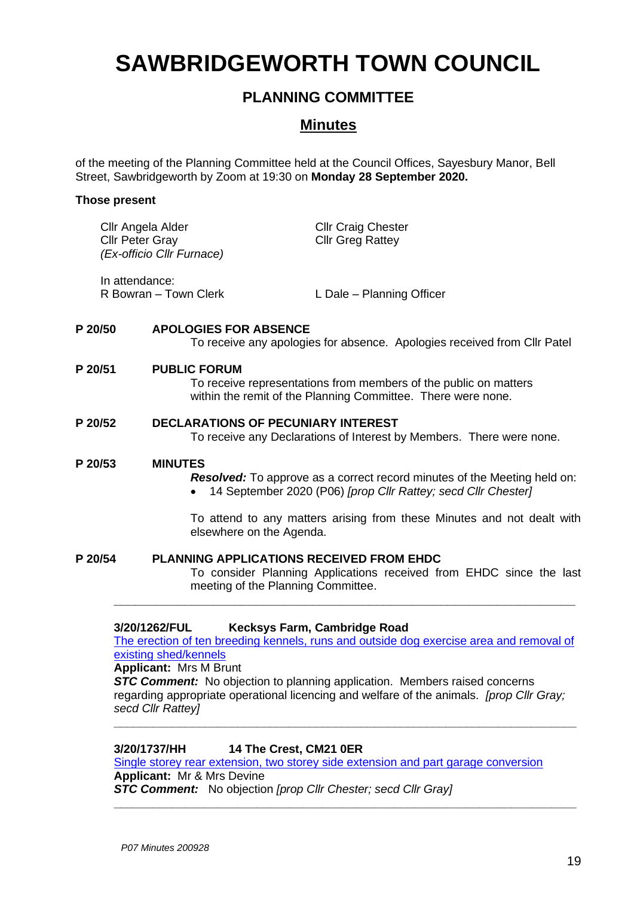# **SAWBRIDGEWORTH TOWN COUNCIL**

# **PLANNING COMMITTEE**

# **Minutes**

of the meeting of the Planning Committee held at the Council Offices, Sayesbury Manor, Bell Street, Sawbridgeworth by Zoom at 19:30 on **Monday 28 September 2020.**

# **Those present**

| Cllr Angela Alder<br><b>Cllr Peter Gray</b><br>(Ex-officio Cllr Furnace) | <b>Cllr Craig Chester</b><br><b>Cllr Greg Rattey</b> |
|--------------------------------------------------------------------------|------------------------------------------------------|
| In attendance:<br>R Bowran – Town Clerk                                  | L Dale - Planning Officer                            |

# **P 20/50 APOLOGIES FOR ABSENCE**

To receive any apologies for absence. Apologies received from Cllr Patel

# **P 20/51 PUBLIC FORUM**

To receive representations from members of the public on matters within the remit of the Planning Committee. There were none.

# **P 20/52 DECLARATIONS OF PECUNIARY INTEREST**

To receive any Declarations of Interest by Members. There were none.

#### **P 20/53 MINUTES**

*Resolved:* To approve as a correct record minutes of the Meeting held on:

• 14 September 2020 (P06) *[prop Cllr Rattey; secd Cllr Chester]*

To attend to any matters arising from these Minutes and not dealt with elsewhere on the Agenda.

**P 20/54 PLANNING APPLICATIONS RECEIVED FROM EHDC** To consider Planning Applications received from EHDC since the last meeting of the Planning Committee. **\_\_\_\_\_\_\_\_\_\_\_\_\_\_\_\_\_\_\_\_\_\_\_\_\_\_\_\_\_\_\_\_\_\_\_\_\_\_\_\_\_\_\_\_\_\_\_\_\_\_\_\_\_\_\_\_\_\_\_\_\_\_\_\_\_**

# **3/20/1262/FUL Kecksys Farm, Cambridge Road**

[The erection of ten breeding kennels, runs and outside dog exercise area and removal of](https://publicaccess.eastherts.gov.uk/online-applications/applicationDetails.do?activeTab=documents&keyVal=QD58FDGL00X00)  existing [shed/kennels](https://publicaccess.eastherts.gov.uk/online-applications/applicationDetails.do?activeTab=documents&keyVal=QD58FDGL00X00)

**Applicant:** Mrs M Brunt

**STC Comment:** No objection to planning application. Members raised concerns regarding appropriate operational licencing and welfare of the animals. *[prop Cllr Gray; secd Cllr Rattey]*

**\_\_\_\_\_\_\_\_\_\_\_\_\_\_\_\_\_\_\_\_\_\_\_\_\_\_\_\_\_\_\_\_\_\_\_\_\_\_\_\_\_\_\_\_\_\_\_\_\_\_\_\_\_\_\_\_\_\_\_\_\_\_\_\_\_\_\_\_\_\_\_**

**\_\_\_\_\_\_\_\_\_\_\_\_\_\_\_\_\_\_\_\_\_\_\_\_\_\_\_\_\_\_\_\_\_\_\_\_\_\_\_\_\_\_\_\_\_\_\_\_\_\_\_\_\_\_\_\_\_\_\_\_\_\_\_\_\_\_\_\_\_\_\_**

#### **3/20/1737/HH 14 The Crest, CM21 0ER**

[Single storey rear extension, two storey side extension and part garage conversion](https://publicaccess.eastherts.gov.uk/online-applications/applicationDetails.do?activeTab=documents&keyVal=QGHFLUGLIG100) **Applicant:** Mr & Mrs Devine *STC Comment:* No objection *[prop Cllr Chester; secd Cllr Gray]*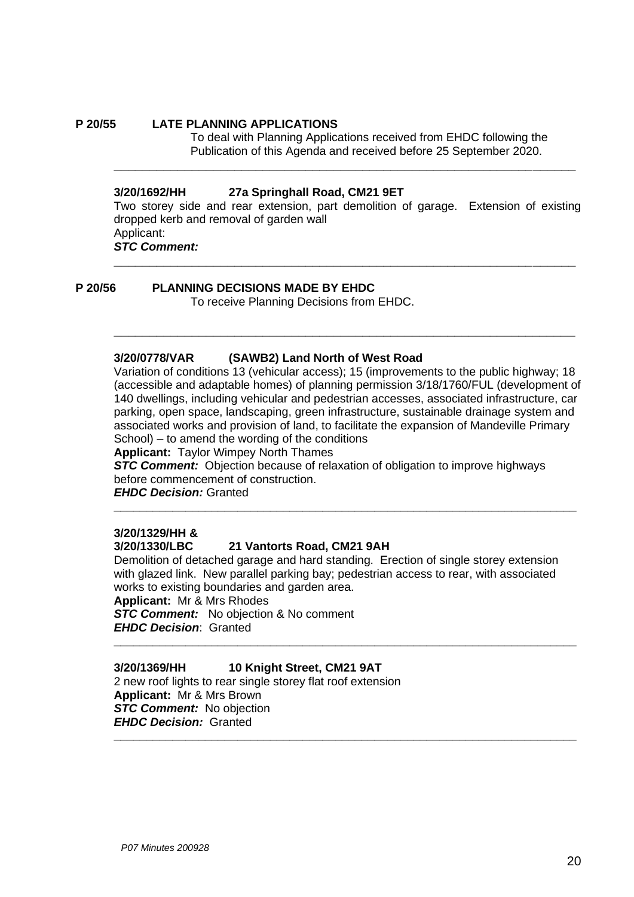#### **P 20/55 LATE PLANNING APPLICATIONS**

To deal with Planning Applications received from EHDC following the Publication of this Agenda and received before 25 September 2020.

#### **3/20/1692/HH 27a Springhall Road, CM21 9ET**

Two storey side and rear extension, part demolition of garage. Extension of existing dropped kerb and removal of garden wall Applicant: *STC Comment:* 

**\_\_\_\_\_\_\_\_\_\_\_\_\_\_\_\_\_\_\_\_\_\_\_\_\_\_\_\_\_\_\_\_\_\_\_\_\_\_\_\_\_\_\_\_\_\_\_\_\_\_\_\_\_\_\_\_\_\_\_\_\_\_\_\_\_**

**\_\_\_\_\_\_\_\_\_\_\_\_\_\_\_\_\_\_\_\_\_\_\_\_\_\_\_\_\_\_\_\_\_\_\_\_\_\_\_\_\_\_\_\_\_\_\_\_\_\_\_\_\_\_\_\_\_\_\_\_\_\_\_\_\_**

**\_\_\_\_\_\_\_\_\_\_\_\_\_\_\_\_\_\_\_\_\_\_\_\_\_\_\_\_\_\_\_\_\_\_\_\_\_\_\_\_\_\_\_\_\_\_\_\_\_\_\_\_\_\_\_\_\_\_\_\_\_\_\_\_\_**

#### **P 20/56 PLANNING DECISIONS MADE BY EHDC**

To receive Planning Decisions from EHDC.

#### **3/20/0778/VAR (SAWB2) Land North of West Road**

Variation of conditions 13 (vehicular access); 15 (improvements to the public highway; 18 (accessible and adaptable homes) of planning permission 3/18/1760/FUL (development of 140 dwellings, including vehicular and pedestrian accesses, associated infrastructure, car parking, open space, landscaping, green infrastructure, sustainable drainage system and associated works and provision of land, to facilitate the expansion of Mandeville Primary School) – to amend the wording of the conditions

**Applicant:** Taylor Wimpey North Thames

**STC Comment:** Objection because of relaxation of obligation to improve highways before commencement of construction.

**\_\_\_\_\_\_\_\_\_\_\_\_\_\_\_\_\_\_\_\_\_\_\_\_\_\_\_\_\_\_\_\_\_\_\_\_\_\_\_\_\_\_\_\_\_\_\_\_\_\_\_\_\_\_\_\_\_\_\_\_\_\_\_\_\_\_\_\_\_\_\_**

*EHDC Decision:* Granted

## **3/20/1329/HH &**

#### **3/20/1330/LBC 21 Vantorts Road, CM21 9AH**

Demolition of detached garage and hard standing. Erection of single storey extension with glazed link. New parallel parking bay; pedestrian access to rear, with associated works to existing boundaries and garden area.

**\_\_\_\_\_\_\_\_\_\_\_\_\_\_\_\_\_\_\_\_\_\_\_\_\_\_\_\_\_\_\_\_\_\_\_\_\_\_\_\_\_\_\_\_\_\_\_\_\_\_\_\_\_\_\_\_\_\_\_\_\_\_\_\_\_\_\_\_\_\_\_**

**\_\_\_\_\_\_\_\_\_\_\_\_\_\_\_\_\_\_\_\_\_\_\_\_\_\_\_\_\_\_\_\_\_\_\_\_\_\_\_\_\_\_\_\_\_\_\_\_\_\_\_\_\_\_\_\_\_\_\_\_\_\_\_\_\_\_\_\_\_\_\_**

**Applicant:** Mr & Mrs Rhodes *STC Comment:* No objection & No comment *EHDC Decision*: Granted

#### **3/20/1369/HH 10 Knight Street, CM21 9AT**

2 new roof lights to rear single storey flat roof extension **Applicant:** Mr & Mrs Brown **STC Comment:** No objection *EHDC Decision:*Granted